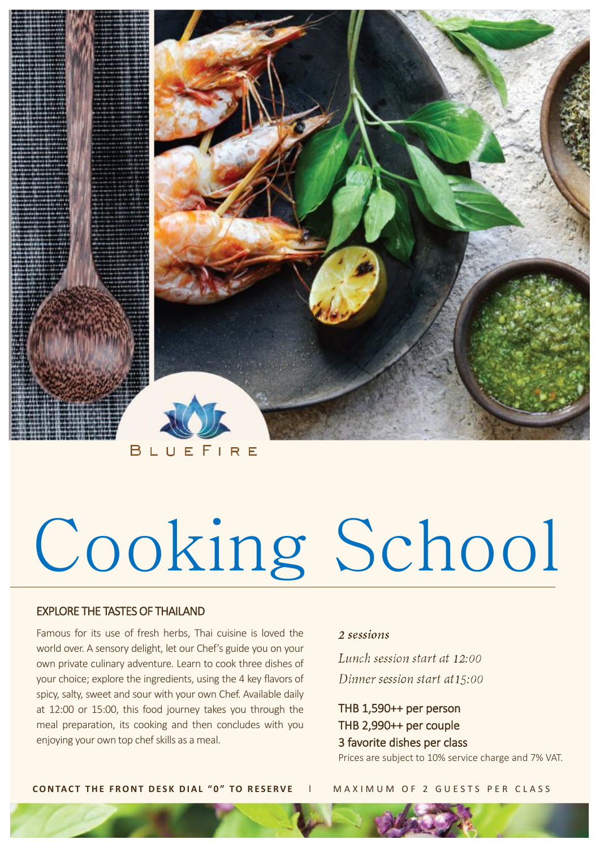

# Cooking School

# EXPLORE THE TASTES OF THAILAND

Famous for its use of fresh herbs, Thai cuisine is loved the

2 sessions

world over. A sensory delight, let our Chef's guide you on your own private culinary adventure. Learn to cook three dishes of your choice; explore the ingredients, using the 4 key flavors of spicy, salty, sweet and sour with your own Chef. Available daily at 12:00 or 15:00, this food journey takes you through the meal preparation, its cooking and then concludes with you enjoying your own top chef skills as a meal.

Lunch session start at 12:00

Dinner session start at 15:00

THB 1,590++ per person THB 2,990++ per couple 3 favorite dishes per class

Prices are subject to 10% service charge and 7% VAT.

### **CONTACT THE FRONT DESK DIAL "0" TO RESERVE | MAXIMUM OF 2 GUESTS PER CLASS**